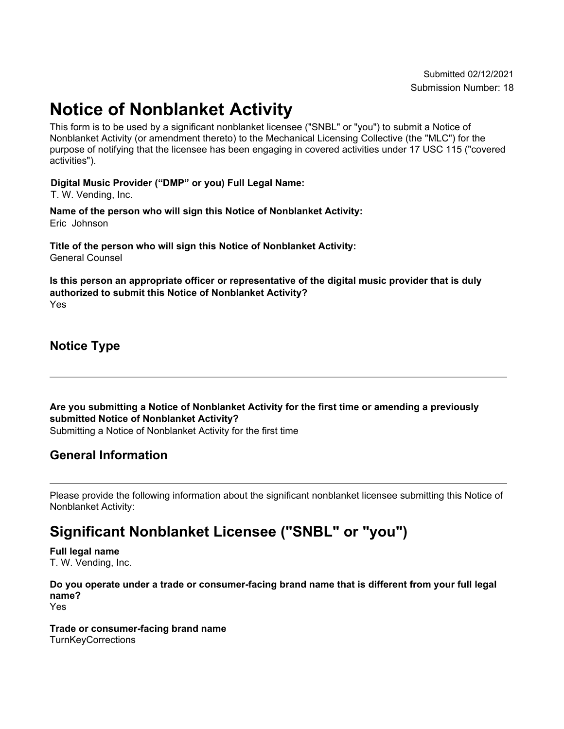# **Notice of Nonblanket Activity**

This form is to be used by a significant nonblanket licensee ("SNBL" or "you") to submit a Notice of Nonblanket Activity (or amendment thereto) to the Mechanical Licensing Collective (the "MLC") for the purpose of notifying that the licensee has been engaging in covered activities under 17 USC 115 ("covered activities").

#### **Digital Music Provider ("DMP" or you) Full Legal Name:**

T. W. Vending, Inc.

**Name of the person who will sign this Notice of Nonblanket Activity:** Eric Johnson

**Title of the person who will sign this Notice of Nonblanket Activity:** General Counsel

**Is this person an appropriate officer or representative of the digital music provider that is duly authorized to submit this Notice of Nonblanket Activity?** Yes

**Notice Type**

**Are you submitting a Notice of Nonblanket Activity for the first time or amending a previously submitted Notice of Nonblanket Activity?** Submitting a Notice of Nonblanket Activity for the first time

#### **General Information**

Please provide the following information about the significant nonblanket licensee submitting this Notice of Nonblanket Activity:

## **Significant Nonblanket Licensee ("SNBL" or "you")**

**Full legal name** T. W. Vending, Inc.

**Do you operate under a trade or consumer-facing brand name that is different from your full legal name?**

Yes

**Trade or consumer-facing brand name TurnKeyCorrections**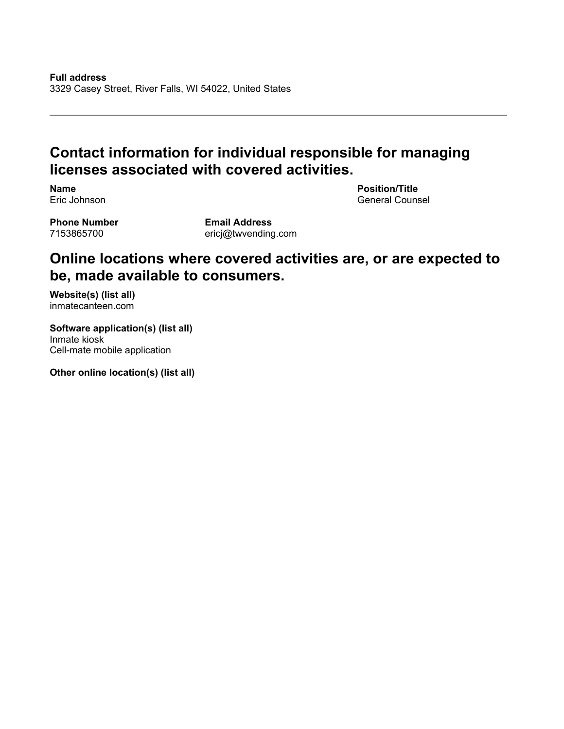### **Contact information for individual responsible for managing licenses associated with covered activities.**

**Name** Eric Johnson **Position/Title** General Counsel

**Phone Number** 7153865700

**Email Address** ericj@twvending.com

### **Online locations where covered activities are, or are expected to be, made available to consumers.**

**Website(s) (list all)** inmatecanteen.com

**Software application(s) (list all)** Inmate kiosk Cell-mate mobile application

**Other online location(s) (list all)**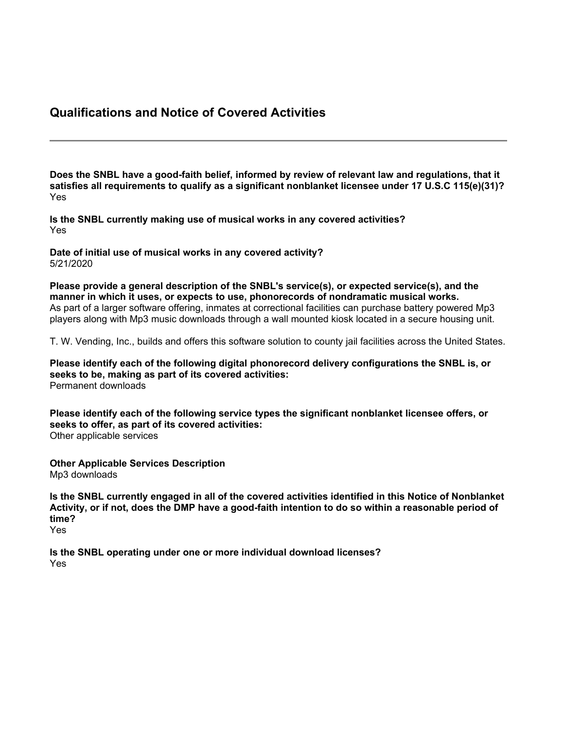#### **Qualifications and Notice of Covered Activities**

**Does the SNBL have a good-faith belief, informed by review of relevant law and regulations, that it satisfies all requirements to qualify as a significant nonblanket licensee under 17 U.S.C 115(e)(31)?** Yes

**Is the SNBL currently making use of musical works in any covered activities?** Yes

**Date of initial use of musical works in any covered activity?** 5/21/2020

**Please provide a general description of the SNBL's service(s), or expected service(s), and the manner in which it uses, or expects to use, phonorecords of nondramatic musical works.** As part of a larger software offering, inmates at correctional facilities can purchase battery powered Mp3 players along with Mp3 music downloads through a wall mounted kiosk located in a secure housing unit.

T. W. Vending, Inc., builds and offers this software solution to county jail facilities across the United States.

**Please identify each of the following digital phonorecord delivery configurations the SNBL is, or seeks to be, making as part of its covered activities:** Permanent downloads

**Please identify each of the following service types the significant nonblanket licensee offers, or seeks to offer, as part of its covered activities:** Other applicable services

**Other Applicable Services Description** Mp3 downloads

**Is the SNBL currently engaged in all of the covered activities identified in this Notice of Nonblanket** Activity, or if not, does the DMP have a good-faith intention to do so within a reasonable period of **time?** Yes

**Is the SNBL operating under one or more individual download licenses?** Yes